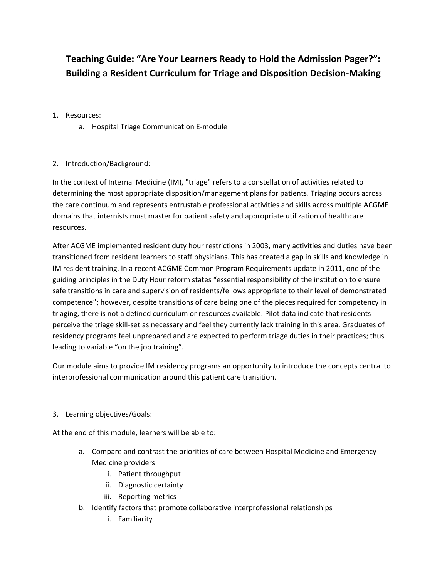## **Teaching Guide: "Are Your Learners Ready to Hold the Admission Pager?": Building a Resident Curriculum for Triage and Disposition Decision‐Making**

- 1. Resources:
	- a. Hospital Triage Communication E‐module

## 2. Introduction/Background:

In the context of Internal Medicine (IM), "triage" refers to a constellation of activities related to determining the most appropriate disposition/management plans for patients. Triaging occurs across the care continuum and represents entrustable professional activities and skills across multiple ACGME domains that internists must master for patient safety and appropriate utilization of healthcare resources.

After ACGME implemented resident duty hour restrictions in 2003, many activities and duties have been transitioned from resident learners to staff physicians. This has created a gap in skills and knowledge in IM resident training. In a recent ACGME Common Program Requirements update in 2011, one of the guiding principles in the Duty Hour reform states "essential responsibility of the institution to ensure safe transitions in care and supervision of residents/fellows appropriate to their level of demonstrated competence"; however, despite transitions of care being one of the pieces required for competency in triaging, there is not a defined curriculum or resources available. Pilot data indicate that residents perceive the triage skill-set as necessary and feel they currently lack training in this area. Graduates of residency programs feel unprepared and are expected to perform triage duties in their practices; thus leading to variable "on the job training".

Our module aims to provide IM residency programs an opportunity to introduce the concepts central to interprofessional communication around this patient care transition.

3. Learning objectives/Goals:

At the end of this module, learners will be able to:

- a. Compare and contrast the priorities of care between Hospital Medicine and Emergency Medicine providers
	- i. Patient throughput
	- ii. Diagnostic certainty
	- iii. Reporting metrics
- b. Identify factors that promote collaborative interprofessional relationships
	- i. Familiarity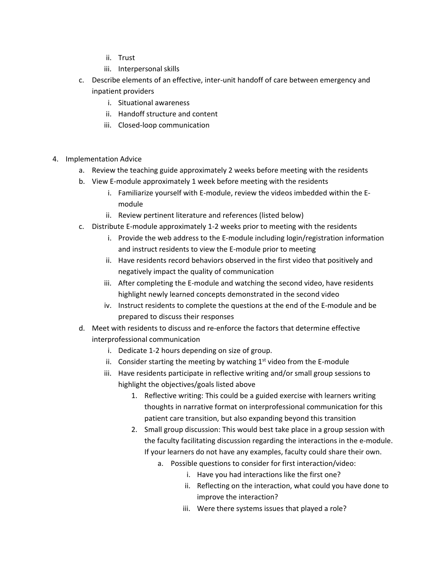- ii. Trust
- iii. Interpersonal skills
- c. Describe elements of an effective, inter‐unit handoff of care between emergency and inpatient providers
	- i. Situational awareness
	- ii. Handoff structure and content
	- iii. Closed‐loop communication
- 4. Implementation Advice
	- a. Review the teaching guide approximately 2 weeks before meeting with the residents
	- b. View E‐module approximately 1 week before meeting with the residents
		- i. Familiarize yourself with E-module, review the videos imbedded within the Emodule
		- ii. Review pertinent literature and references (listed below)
	- c. Distribute E‐module approximately 1‐2 weeks prior to meeting with the residents
		- i. Provide the web address to the E‐module including login/registration information and instruct residents to view the E‐module prior to meeting
		- ii. Have residents record behaviors observed in the first video that positively and negatively impact the quality of communication
		- iii. After completing the E‐module and watching the second video, have residents highlight newly learned concepts demonstrated in the second video
		- iv. Instruct residents to complete the questions at the end of the E‐module and be prepared to discuss their responses
	- d. Meet with residents to discuss and re‐enforce the factors that determine effective interprofessional communication
		- i. Dedicate 1‐2 hours depending on size of group.
		- ii. Consider starting the meeting by watching  $1<sup>st</sup>$  video from the E-module
		- iii. Have residents participate in reflective writing and/or small group sessions to highlight the objectives/goals listed above
			- 1. Reflective writing: This could be a guided exercise with learners writing thoughts in narrative format on interprofessional communication for this patient care transition, but also expanding beyond this transition
			- 2. Small group discussion: This would best take place in a group session with the faculty facilitating discussion regarding the interactions in the e-module. If your learners do not have any examples, faculty could share their own.
				- a. Possible questions to consider for first interaction/video:
					- i. Have you had interactions like the first one?
					- ii. Reflecting on the interaction, what could you have done to improve the interaction?
					- iii. Were there systems issues that played a role?